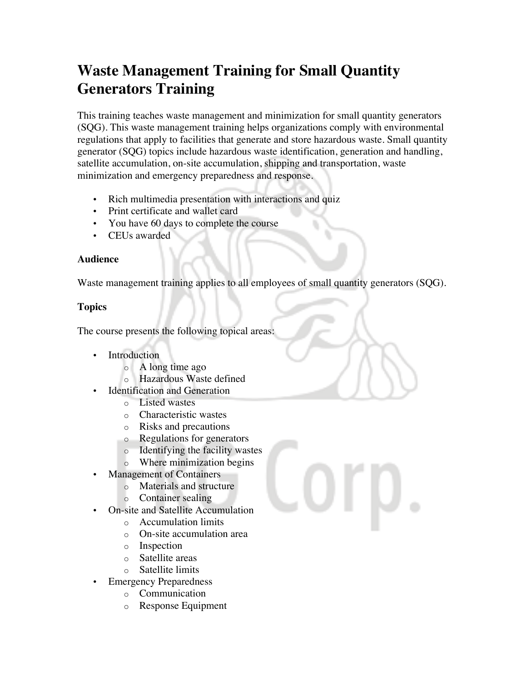## **Waste Management Training for Small Quantity Generators Training**

This training teaches waste management and minimization for small quantity generators (SQG). This waste management training helps organizations comply with environmental regulations that apply to facilities that generate and store hazardous waste. Small quantity generator (SQG) topics include hazardous waste identification, generation and handling, satellite accumulation, on-site accumulation, shipping and transportation, waste minimization and emergency preparedness and response.

- Rich multimedia presentation with interactions and quiz
- Print certificate and wallet card
- You have 60 days to complete the course
- CEUs awarded

## **Audience**

Waste management training applies to all employees of small quantity generators (SQG).

## **Topics**

The course presents the following topical areas:

- Introduction
	- o A long time ago
	- o Hazardous Waste defined
- **Identification and Generation** 
	- o Listed wastes
	- o Characteristic wastes
	- o Risks and precautions
	- o Regulations for generators
	- o Identifying the facility wastes
	- o Where minimization begins
- Management of Containers
	- o Materials and structure
	- o Container sealing
	- On-site and Satellite Accumulation
		- o Accumulation limits
		- o On-site accumulation area
		- o Inspection
		- o Satellite areas
		- o Satellite limits
- **Emergency Preparedness** 
	- o Communication
	- o Response Equipment